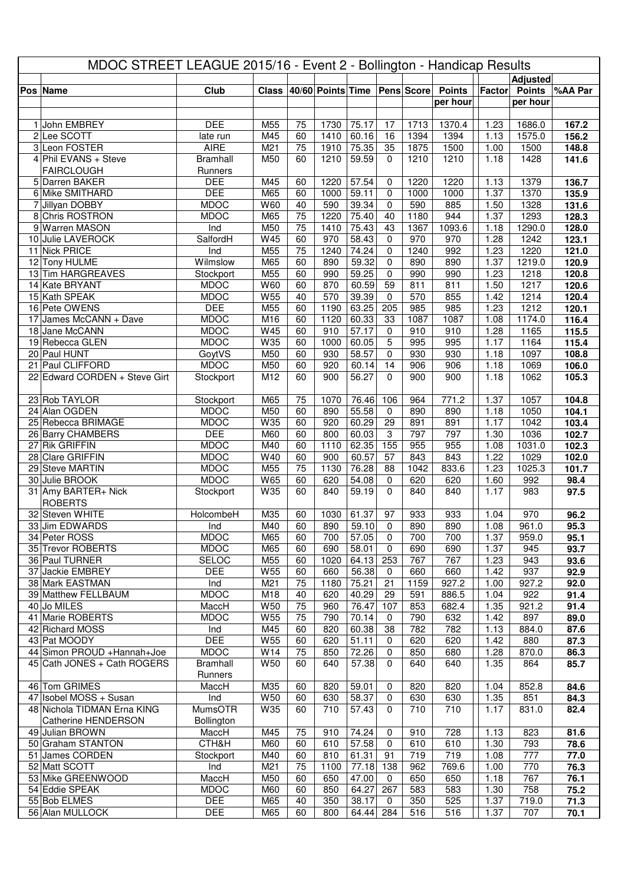| MDOC STREET LEAGUE 2015/16 - Event 2 - Bollington - Handicap Results |                                       |                             |              |                       |                   |                |                    |              |               |                   |                 |                |
|----------------------------------------------------------------------|---------------------------------------|-----------------------------|--------------|-----------------------|-------------------|----------------|--------------------|--------------|---------------|-------------------|-----------------|----------------|
|                                                                      |                                       |                             |              |                       |                   |                |                    |              |               |                   | <b>Adjusted</b> |                |
|                                                                      | Pos Name                              | Club                        | <b>Class</b> |                       | 40/60 Points Time |                |                    | Pens Score   | <b>Points</b> | Factor            | <b>Points</b>   | %AA Par        |
|                                                                      |                                       |                             |              |                       |                   |                |                    |              | per hour      |                   | per hour        |                |
|                                                                      |                                       |                             |              |                       |                   |                |                    |              |               |                   |                 |                |
|                                                                      | 1 John EMBREY                         | <b>DEE</b>                  | M55          | 75                    | 1730              | 75.17          | 17                 | 1713         | 1370.4        | 1.23              | 1686.0          | 167.2          |
|                                                                      | 2Lee SCOTT<br>3 Leon FOSTER           | late run<br><b>AIRE</b>     | M45<br>M21   | 60<br>$\overline{75}$ | 1410<br>1910      | 60.16<br>75.35 | 16<br>35           | 1394<br>1875 | 1394<br>1500  | 1.13<br>1.00      | 1575.0<br>1500  | 156.2<br>148.8 |
|                                                                      | 4 Phil EVANS + Steve                  | <b>Bramhall</b>             | M50          | 60                    | 1210              | 59.59          | $\Omega$           | 1210         | 1210          | 1.18              | 1428            | 141.6          |
|                                                                      | <b>FAIRCLOUGH</b>                     | Runners                     |              |                       |                   |                |                    |              |               |                   |                 |                |
|                                                                      | 5 Darren BAKER                        | <b>DEE</b>                  | M45          | 60                    | 1220              | 57.54          | 0                  | 1220         | 1220          | 1.13              | 1379            | 136.7          |
|                                                                      | 6 Mike SMITHARD                       | <b>DEE</b>                  | M65          | 60                    | 1000              | 59.11          | $\mathbf 0$        | 1000         | 1000          | 1.37              | 1370            | 135.9          |
|                                                                      | 7 Jillyan DOBBY                       | <b>MDOC</b>                 | W60          | 40                    | 590               | 39.34          | 0                  | 590          | 885           | 1.50              | 1328            | 131.6          |
|                                                                      | 8 Chris ROSTRON                       | <b>MDOC</b>                 | M65          | $\overline{75}$       | 1220              | 75.40          | 40                 | 1180         | 944           | 1.37              | 1293            | 128.3          |
|                                                                      | 9 Warren MASON                        | Ind                         | M50          | $\overline{75}$       | 1410              | 75.43          | 43                 | 1367         | 1093.6        | 1.18              | 1290.0          | 128.0          |
|                                                                      | 10 Julie LAVEROCK                     | SalfordH                    | W45          | 60                    | 970               | 58.43          | $\mathbf 0$        | 970          | 970           | 1.28              | 1242            | 123.1          |
|                                                                      | 11 Nick PRICE                         | Ind                         | M55          | 75                    | 1240              | 74.24          | $\mathbf 0$        | 1240         | 992           | 1.23              | 1220            | 121.0          |
|                                                                      | 12 Tony HULME<br>13 Tim HARGREAVES    | Wilmslow<br>Stockport       | M65          | 60<br>60              | 890<br>990        | 59.32<br>59.25 | 0                  | 890<br>990   | 890           | 1.37<br>1.23      | 1219.0          | 120.9<br>120.8 |
|                                                                      | 14 Kate BRYANT                        | <b>MDOC</b>                 | M55<br>W60   | 60                    | 870               | 60.59          | 0<br>59            | 811          | 990<br>811    | 1.50              | 1218<br>1217    | 120.6          |
|                                                                      | 15 Kath SPEAK                         | <b>MDOC</b>                 | W55          | 40                    | 570               | 39.39          | $\mathbf 0$        | 570          | 855           | 1.42              | 1214            | 120.4          |
|                                                                      | 16 Pete OWENS                         | <b>DEE</b>                  | M55          | 60                    | 1190              | 63.25          | 205                | 985          | 985           | 1.23              | 1212            | 120.1          |
|                                                                      | 17 James McCANN + Dave                | <b>MDOC</b>                 | M16          | 60                    | 1120              | 60.33          | 33                 | 1087         | 1087          | 1.08              | 1174.0          | 116.4          |
|                                                                      | 18 Jane McCANN                        | <b>MDOC</b>                 | W45          | 60                    | 910               | 57.17          | $\mathbf 0$        | 910          | 910           | 1.28              | 1165            | 115.5          |
|                                                                      | 19 Rebecca GLEN                       | <b>MDOC</b>                 | W35          | 60                    | 1000              | 60.05          | 5                  | 995          | 995           | 1.17              | 1164            | 115.4          |
|                                                                      | 20 Paul HUNT                          | GoytVS                      | M50          | 60                    | 930               | 58.57          | 0                  | 930          | 930           | 1.18              | 1097            | 108.8          |
|                                                                      | 21 Paul CLIFFORD                      | <b>MDOC</b>                 | M50          | 60                    | 920               | 60.14          | 14                 | 906          | 906           | $1.\overline{18}$ | 1069            | 106.0          |
|                                                                      | 22 Edward CORDEN + Steve Girt         | Stockport                   | M12          | 60                    | 900               | 56.27          | $\Omega$           | 900          | 900           | 1.18              | 1062            | 105.3          |
|                                                                      |                                       |                             |              |                       |                   |                |                    |              |               |                   |                 |                |
|                                                                      | 23 Rob TAYLOR<br>24 Alan OGDEN        | Stockport<br><b>MDOC</b>    | M65<br>M50   | 75<br>60              | 1070<br>890       | 76.46<br>55.58 | 106<br>0           | 964<br>890   | 771.2<br>890  | 1.37<br>1.18      | 1057<br>1050    | 104.8<br>104.1 |
|                                                                      | 25 Rebecca BRIMAGE                    | <b>MDOC</b>                 | W35          | 60                    | 920               | 60.29          | 29                 | 891          | 891           | 1.17              | 1042            | 103.4          |
|                                                                      | 26 Barry CHAMBERS                     | <b>DEE</b>                  | M60          | 60                    | 800               | 60.03          | $\,3$              | 797          | 797           | 1.30              | 1036            | 102.7          |
|                                                                      | 27 Rik GRIFFIN                        | <b>MDOC</b>                 | M40          | 60                    | 1110              | 62.35          | 155                | 955          | 955           | 1.08              | 1031.0          | 102.3          |
|                                                                      | 28 Clare GRIFFIN                      | <b>MDOC</b>                 | W40          | 60                    | 900               | 60.57          | 57                 | 843          | 843           | 1.22              | 1029            | 102.0          |
|                                                                      | 29 Steve MARTIN                       | <b>MDOC</b>                 | M55          | $\overline{75}$       | 1130              | 76.28          | 88                 | 1042         | 833.6         | 1.23              | 1025.3          | 101.7          |
|                                                                      | 30 Julie BROOK                        | <b>MDOC</b>                 | W65          | 60                    | 620               | 54.08          | 0                  | 620          | 620           | 1.60              | 992             | 98.4           |
|                                                                      | 31 Amy BARTER+ Nick<br><b>ROBERTS</b> | Stockport                   | W35          | 60                    | 840               | 59.19          | $\Omega$           | 840          | 840           | 1.17              | 983             | 97.5           |
|                                                                      | 32 Steven WHITE                       | HolcombeH                   | M35          | 60                    | 1030              | 61.37          | 97                 | 933          | 933           | 1.04              | 970             | 96.2           |
|                                                                      | 33 Jim EDWARDS                        | Ind                         | M40          | 60                    | 890               | 59.10          | $\Omega$           | 890          | 890           | 1.08              | 961.0           | 95.3           |
|                                                                      | 34 Peter ROSS                         | <b>MDOC</b>                 | M65          | 60                    | 700               | 57.05          | 0                  | 700          | 700           | 1.37              | 959.0           | 95.1           |
|                                                                      | 35 Trevor ROBERTS<br>36 Paul TURNER   | <b>MDOC</b><br><b>SELOC</b> | M65<br>M55   | 60<br>60              | 690<br>1020       | 58.01<br>64.13 | $\mathbf 0$<br>253 | 690<br>767   | 690<br>767    | 1.37<br>1.23      | 945<br>943      | 93.7<br>93.6   |
|                                                                      | 37 Jackie EMBREY                      | <b>DEE</b>                  | W55          | 60                    | 660               | 56.38          | 0                  | 660          | 660           | 1.42              | 937             | 92.9           |
|                                                                      | 38 Mark EASTMAN                       | Ind                         | M21          | 75                    | 1180              | 75.21          | 21                 | 1159         | 927.2         | 1.00              | 927.2           | 92.0           |
|                                                                      | 39 Matthew FELLBAUM                   | <b>MDOC</b>                 | M18          | 40                    | 620               | 40.29          | 29                 | 591          | 886.5         | 1.04              | 922             | 91.4           |
|                                                                      | 40 Jo MILES                           | MaccH                       | W50          | 75                    | 960               | 76.47          | 107                | 853          | 682.4         | 1.35              | 921.2           | 91.4           |
|                                                                      | 41 Marie ROBERTS                      | <b>MDOC</b>                 | W55          | 75                    | 790               | 70.14          | $\mathbf 0$        | 790          | 632           | 1.42              | 897             | 89.0           |
|                                                                      | 42 Richard MOSS                       | Ind                         | M45          | 60                    | 820               | 60.38          | 38                 | 782          | 782           | 1.13              | 884.0           | 87.6           |
|                                                                      | 43 Pat MOODY                          | <b>DEE</b>                  | W55          | 60                    | 620               | 51.11          | $\mathbf 0$        | 620          | 620           | 1.42              | 880             | 87.3           |
|                                                                      | 44 Simon PROUD + Hannah+Joe           | <b>MDOC</b>                 | W14          | 75                    | 850               | 72.26          | 0                  | 850          | 680           | 1.28              | 870.0           | 86.3           |
|                                                                      | 45 Cath JONES + Cath ROGERS           | <b>Bramhall</b>             | W50          | 60                    | 640               | 57.38          | 0                  | 640          | 640           | 1.35              | 864             | 85.7           |
|                                                                      | 46 Tom GRIMES                         | Runners<br>MaccH            | M35          | 60                    | 820               | 59.01          | 0                  | 820          | 820           | 1.04              | 852.8           | 84.6           |
|                                                                      | 47 Isobel MOSS + Susan                | Ind                         | W50          | 60                    | 630               | 58.37          | 0                  | 630          | 630           | 1.35              | 851             | 84.3           |
|                                                                      | 48 Nichola TIDMAN Erna KING           | MumsOTR                     | W35          | 60                    | 710               | 57.43          | 0                  | 710          | 710           | 1.17              | 831.0           | 82.4           |
|                                                                      | Catherine HENDERSON                   | Bollington                  |              |                       |                   |                |                    |              |               |                   |                 |                |
|                                                                      | 49 Julian BROWN                       | MaccH                       | M45          | 75                    | 910               | 74.24          | 0                  | 910          | 728           | 1.13              | 823             | 81.6           |
|                                                                      | 50 Graham STANTON                     | CTH&H                       | M60          | 60                    | 610               | 57.58          | $\mathbf 0$        | 610          | 610           | 1.30              | 793             | 78.6           |
|                                                                      | 51 James CORDEN                       | Stockport                   | M40          | 60                    | 810               | 61.31          | 91                 | 719          | 719           | 1.08              | 777             | 77.0           |
|                                                                      | 52 Matt SCOTT                         | Ind                         | M21          | 75                    | 1100              | 77.18          | 138                | 962          | 769.6         | 1.00              | 770             | 76.3           |
|                                                                      | 53 Mike GREENWOOD                     | MaccH                       | M50          | 60                    | 650               | 47.00          | 0                  | 650          | 650           | 1.18              | 767             | 76.1           |
|                                                                      | 54 Eddie SPEAK<br>55 Bob ELMES        | <b>MDOC</b><br><b>DEE</b>   | M60<br>M65   | 60<br>40              | 850<br>350        | 64.27<br>38.17 | 267<br>0           | 583<br>350   | 583<br>525    | 1.30<br>1.37      | 758<br>719.0    | 75.2<br>71.3   |
|                                                                      | 56 Alan MULLOCK                       | <b>DEE</b>                  | M65          | 60                    | 800               | 64.44          | 284                | 516          | 516           | 1.37              | 707             | 70.1           |
|                                                                      |                                       |                             |              |                       |                   |                |                    |              |               |                   |                 |                |